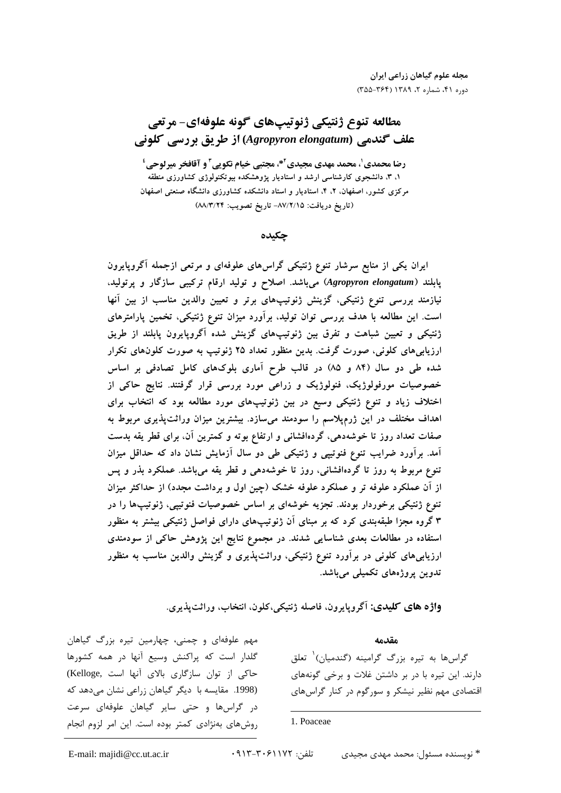# مطالعه تنوع ژنتيكي ژنوتيپهاي گونه علوفهاي- مرتعي علف گندمی (Agropyron elongatum) از طریق بررسی کلونی

رضا محمدي'، محمد مهدي مجيدي'\*، مجتبي خيام نكويي" و آقافخر ميرلوحي' ۱، ۳، دانشجوی کارشناسی ارشد و استادیار پژوهشکده بیوتکنولوژی کشاورزی منطقه مرکزی کشور، اصفهان، ۲، ۴، استادیار و استاد دانشکده کشاورزی دانشگاه صنعتی اصفهان (تاريخ دريافت: ٨٧/٢/١٥- تاريخ تصويب: ٨٨/٣/٢۴)

حكىدە

ایران یکی از منابع سرشار تنوع ژنتیکی گراسهای علوفهای و مرتعی ازجمله آگروپایرون پابلند (Agropyron elongatum) میباشد. اصلاح و تولید ارقام ترکیبی سازگار و پرتولید، نیازمند بررسی تنوع ژنتیکی، گزینش ژنوتیپهای برتر و تعیین والدین مناسب از بین آنها است. این مطالعه با هدف بررسی توان تولید، برآورد میزان تنوع ژنتیکی، تخمین پارامترهای ژنتیکی و تعیین شباهت و تفرق بین ژنوتیپهای گزینش شده آگروپایرون پابلند از طریق ارزیابیهای کلونی، صورت گرفت. بدین منظور تعداد ۲۵ ژنوتیپ به صورت کلونهای تکرار شده طی دو سال (۸۴ و ۸۵) در قالب طرح آماری بلوکهای کامل تصادفی بر اساس خصوصیات مورفولوژیک، فنولوژیک و زراعی مورد بررسی قرار گرفتند. نتایج حاکی از اختلاف زیاد و تنوع ژنتیکی وسیع در بین ژنوتیپهای مورد مطالعه بود که انتخاب برای اهداف مختلف در این ژرمپلاسم را سودمند میسازد. بیشترین میزان وراثتپذیری مربوط به صفات تعداد روز تا خوشهدهی، گردهافشانی و ارتفاع بوته و کمترین آن، برای قطر یقه بدست آمد. برآورد ضرایب تنوع فنوتیپی و ژنتیکی طی دو سال آزمایش نشان داد که حداقل میزان تنوع مربوط به روز تا گردهافشانی، روز تا خوشهدهی و قطر یقه میباشد. عملکرد بذر و پس از آن عملکرد علوفه تر و عملکرد علوفه خشک (چین اول و برداشت مجدد) از حداکثر میزان تنوع ژنتیکی برخوردار بودند. تجزیه خوشهای بر اساس خصوصیات فنوتیپی، ژنوتیپها را در ۳ گروه مجزا طبقهبندی کرد که بر مبنای آن ژنوتیپهای دارای فواصل ژنتیکی بیشتر به منظور استفاده در مطالعات بعدی شناسایی شدند. در مجموع نتایج این پژوهش حاکی از سودمندی ارزیابی های کلونی در برآورد تنوع ژنتیکی، وراثت $\mu$ یری و گزینش والدین مناسب به منظور تدوين پروژههای تکميلی میباشد.

واژه های کلیدی: اگروپایرون، فاصله ژنتیکی،کلون، انتخاب، وراثت پذیری.

مهم علوفهای و چمنی، چهارمین تیره بزرگ گیاهان گلدار است که پراکنش وسیع آنها در همه کشورها حاکی از توان سازگاری بالای آنها است ,Kelloge) (1998. مقايسه با ديگر گياهان زراعي نشان مي دهد كه در گراسها و حتی سایر گیاهان علوفهای سرعت روشهای بهنژادی کمتر بوده است. این امر لزوم انجام مقدمه

گراسها به تیره بزرگ گرامینه (گندمیان)<sup>۱</sup> تعلق دا,ند. این تیره با در بر داشتن غلات و برخی گونههای اقتصادی مهم نظیر نیشکر و سورگوم در کنار گراس های

## 1. Poaceae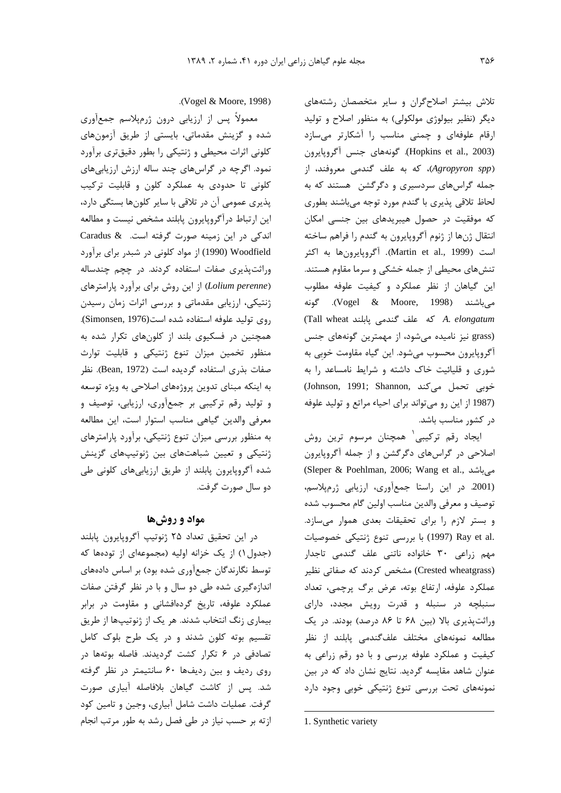تلاش بیشتر اصلاحگران و سایر متخصصان رشتههای دیگر (نظیر بیولوژی مولکولی) به منظور اصلاح و تولید ارقام علوفهای و چمنی مناسب را آشکارتر میسازد (Hopkins et al., 2003). گونههای جنس آگروپایرون (Agropyron spp)، که به علف گندمی معروفند، از جمله گراسهای سردسیری و دگرگشن هستند که به لحاظ تلاقی پذیری با گندم مورد توجه میباشند بطوری که موفقیت در حصول هیبریدهای بین جنسی امکان انتقال ژنها از ژنوم آگروپایرون به گندم را فراهم ساخته است (Martin et al., 1999). أگروپايرونها به اكثر تنشهای محیطی از جمله خشکی و سرما مقاوم هستند. این گیاهان از نظر عملکرد و کیفیت علوفه مطلوب مي باشند (Vogel & Moore, 1998). گونه (Tall wheat كه علف گندمى پابلند Tall wheat (grass نیز نامیده می شود، از مهمترین گونههای جنس آگروپایرون محسوب میشود. این گیاه مقاومت خوبی به شوری و قلیائیت خاک داشته و شرایط نامساعد را به (Johnson, 1991; Shannon, خوبی تحمل میکند) (1987 از این رو می تواند برای احیاء مراتع و تولید علوفه در کشور مناسب باشد.

ايجاد رقم تركيبي` همچنان مرسوم ترين روش اصلاحی در گراسهای دگرگشن و از جمله آگروپایرون (Sleper & Poehlman, 2006; Wang et al., میباشد (2001. در این راستا جمعآوری، ارزیابی ژرمپلاسم، توصيف و معرفي والدين مناسب اولين گام محسوب شده و بستر لازم را برای تحقیقات بعدی هموار می سازد. .Ray et al (1997) با بررسی تنوع ژنتیکی خصوصیات مهم زراعی ۳۰ خانواده ناتنی علف گندمی تاجدار (Crested wheatgrass) مشخص کردند که صفاتی نظیر عملکرد علوفه، ارتفاع بوته، عرض برگ پرچمی، تعداد سنبلچه در سنبله و قدرت رویش مجدد، دارای وراثتپذیری بالا (بین ۶۸ تا ۸۶ درصد) بودند. در یک مطالعه نمونههای مختلف علف گندمی پابلند از نظر کیفیت و عملکرد علوفه بررسی و با دو رقم زراعی به عنوان شاهد مقایسه گردید. نتایج نشان داد که در بین نمونههای تحت بررسی تنوع ژنتیکی خوبی وجود دارد

معمولاً پس از ارزیابی درون ژرمپلاسم جمعآوری شده و گزینش مقدماتی، بایستی از طریق آزمونهای کلونی اثرات محیطی و ژنتیکی را بطور دقیقتری برآورد نمود. اگرچه در گراسهای چند ساله ارزش ارزیابیهای کلونی تا حدودی به عملکرد کلون و قابلیت ترکیب یذیری عمومی آن در تلاقی با سایر کلونها بستگی دارد، این ارتباط درآگروپایرون پابلند مشخص نیست و مطالعه اندکی در این زمینه صورت گرفته است. Caradus & Woodfield (1990) از مواد کلونی در شبدر برای برآورد وراثتپذیری صفات استفاده کردند. در چچم چندساله (Lolium perenne) از این روش برای برآورد پارامترهای ژنتیکی، ارزیابی مقدماتی و بررسی اثرات زمان رسیدن روى توليد علوفه استفاده شده است (Simonsen, 1976). همچنین در فسکیوی بلند از کلونهای تکرار شده به منظور تخمین میزان تنوع ژنتیکی و قابلیت توارث صفات بذرى استفاده گرديده است (Bean, 1972). نظر به اینکه مبنای تدوین پروژههای اصلاحی به ویژه توسعه و تولید رقم ترکیبی بر جمعآوری، ارزیابی، توصیف و معرفی والدین گیاهی مناسب استوار است، این مطالعه به منظور بررسی میزان تنوع ژنتیکی، برآورد پارامترهای ژنتیکی و تعیین شباهتهای بین ژنوتیپهای گزینش شده آگروپایرون پابلند از طریق ارزیابیهای کلونی طی دو سال صورت گرفت.

## مواد و روشها

در این تحقیق تعداد ۲۵ ژنوتیپ آگروپایرون پابلند (جدول ۱) از یک خزانه اولیه (مجموعهای از تودهها که توسط نگارندگان جمعآوری شده بود) بر اساس دادههای اندازهگیری شده طی دو سال و با در نظر گرفتن صفات عملکرد علوفه، تاریخ گردهافشانی و مقاومت در برابر بیماری زنگ انتخاب شدند. هر یک از ژنوتیپها از طریق تقسیم بوته کلون شدند و در یک طرح بلوک کامل تصادفی در ۶ تکرار کشت گردیدند. فاصله بوتهها در روی ردیف و بین ردیفها ۶۰ سانتیمتر در نظر گرفته شد. پس از کاشت گیاهان بلافاصله آبیاری صورت گرفت. عملیات داشت شامل آبیاری، وجین و تامین کود ازته بر حسب نیاز در طی فصل رشد به طور مرتب انجام

<sup>.(</sup>Vogel & Moore, 1998)

<sup>1.</sup> Synthetic variety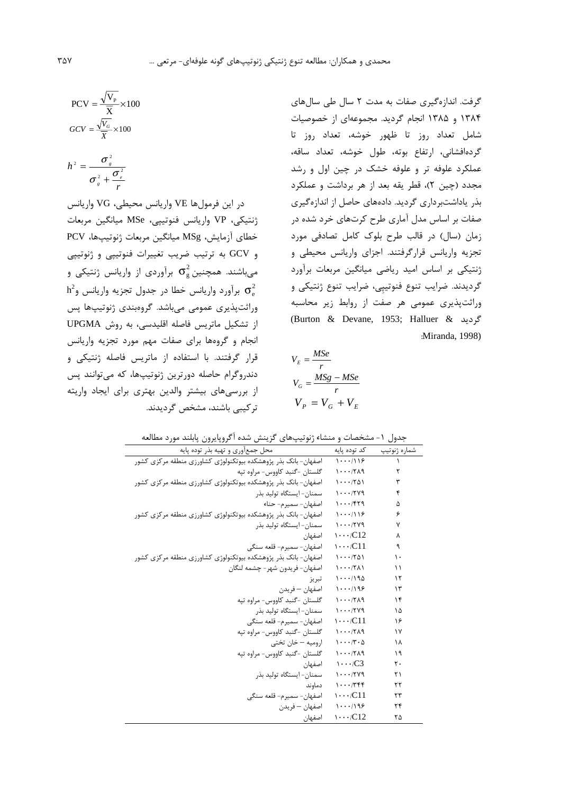گرفت. اندازهگیری صفات به مدت ۲ سال طی سال های ۱۳۸۴ و ۱۳۸۵ انجام گردید. مجموعهای از خصوصیات شامل تعداد روز تا ظهور خوشه، تعداد روز تا گردهافشانی، ارتفاع بوته، طول خوشه، تعداد ساقه، عملکرد علوفه تر و علوفه خشک در چین اول و رشد مجدد (چین ۲)، قطر یقه بعد از هر برداشت و عملکرد بذر یاداشتبرداری گردید. دادههای حاصل از اندازهگیری صفات بر اساس مدل آماری طرح کرتهای خرد شده در زمان (سال) در قالب طرح بلوک کامل تصادفی مورد تجزیه واریانس قرارگرفتند. اجزای واریانس محیطی و ژنتیکی بر اساس امید ریاضی میانگین مربعات برآورد گردیدند. ضرایب تنوع فنوتیپی، ضرایب تنوع ژنتیکی و وراثتپذیری عمومی هر صفت از روابط زیر محاسبه (Burton & Devane, 1953; Halluer & گردید & :Miranda, 1998)

$$
V_E = \frac{MSe}{r}
$$
  

$$
V_G = \frac{MSg - MSE}{r}
$$
  

$$
V_P = V_G + V_E
$$

$$
PCV = \frac{\sqrt{V_P}}{\overline{X}} \times 100
$$

$$
GCV = \frac{\sqrt{V_G}}{\overline{X}} \times 100
$$

$$
h^2 = \frac{\sigma_s^2}{\sigma_s^2 + \frac{\sigma_e^2}{r}}
$$

در این فرمولها VE واریانس محیطی، VG واریانس ژنتیکی، VP واریانس فنوتیپی، MSe میانگین مربعات خطای آزمایش، MSg میانگین مربعات ژنوتیپها، PCV و GCV به ترتیب ضریب تغییرات فنوتیپی و ژنوتیپی میباشند. همچنین $\sigma_{s}^{2}$  برآوردی از واریانس ژنتیکی و  $h^2$ برآورد واریانس خطا در جدول تجزیه واریانس و  $\sigma_{\rm e}^2$ وراثتپذیری عمومی میباشد. گروهبندی ژنوتیپها پس از تشكيل ماتريس فاصله اقليدسى، به روش UPGMA انجام و گروهها برای صفات مهم مورد تجزیه واریانس قرار گرفتند. با استفاده از ماتریس فاصله ژنتیکی و دندروگرام حاصله دورترین ژنوتیپها، که میتوانند پس از بررسیهای بیشتر والدین بهتری برای ایجاد واریته ترکیبے باشند، مشخص گردیدند.

| جدول ١- مشخصات و منشاء ژنوتیپهای گزینش شده اَگروپایرون پابلند مورد مطالعه |                                                 |              |  |  |  |  |  |
|---------------------------------------------------------------------------|-------------------------------------------------|--------------|--|--|--|--|--|
| محل جمعآوري و تهيه بذر توده پايه                                          | کد توده پایه                                    | شماره ژنوتيپ |  |  |  |  |  |
| اصفهان- بانک بذر پژوهشکده بیوتکنولوژی کشاورزی منطقه مرکزی کشور            | $1 \cdot \cdot \cdot 119$                       | J.           |  |  |  |  |  |
| گلستان -گنبد کاووس- مراوه تپه                                             | 1.17                                            | ٢            |  |  |  |  |  |
| اصفهان- بانک بذر پژوهشکده بیوتکنولوژی کشاورزی منطقه مرکزی کشور            | $1 \cdot \cdot \cdot$ /٢۵١                      | ٣            |  |  |  |  |  |
| سمنان- ايستگاه توليد بذر                                                  | $1 \cdot \cdot \cdot$ /٢٧٩                      | ۴            |  |  |  |  |  |
| اصفهان- سميرم- حناء                                                       | $1 \cdot \cdot \cdot$ /۴۲۹                      | ۵            |  |  |  |  |  |
| اصفهان- بانک بذر پژوهشکده بیوتکنولوژی کشاورزی منطقه مرکزی کشور            | $1 \cdots 119$                                  | ۶            |  |  |  |  |  |
| سمنان– ایستگاه تولید بذر                                                  | $1 \cdot \cdot \cdot$ /٢٧٩                      | ٧            |  |  |  |  |  |
| اصفهان                                                                    | $\cdots$ /C12                                   | ٨            |  |  |  |  |  |
| اصفهان- سميرم- قلعه سنگے <sub>،</sub>                                     | $\cdots$ /C11                                   | ٩            |  |  |  |  |  |
| اصفهان- بانک بذر پژوهشکده بیوتکنولوژی کشاورزی منطقه مرکزی کشور            | $1 \cdot \cdot \cdot 701$                       | ۱۰           |  |  |  |  |  |
| اصفهان- فريدون شهر - چشمه لنگان                                           | $1 \cdot \cdot \cdot$ /٢٨١                      | ۱۱           |  |  |  |  |  |
| تبريز                                                                     | $1 \cdot \cdot \cdot / 190$                     | ۱۲           |  |  |  |  |  |
| اصفهان – فريدن                                                            | $1 \cdots 199$                                  | ۱۳           |  |  |  |  |  |
| گلستان -گنبد کاووس- مراوه تپه                                             | $1 \cdot \cdot \cdot$ /٢٨٩                      | ۱۴           |  |  |  |  |  |
| سمنان– ایستگاه تولید بذر                                                  | $1 \cdot \cdot \cdot$ /٢٧٩                      | ۱۵           |  |  |  |  |  |
| اصفهان- سميرم- قلعه سنگے،                                                 | $\cdots$ /C11                                   | ۱۶           |  |  |  |  |  |
| گلستان -گنبد کاووس- مراوه تپه                                             | $1 \cdot \cdot \cdot$ /٢٨٩                      | ۱۷           |  |  |  |  |  |
| اروميه – خان تختى                                                         | $1 \cdot \cdot \cdot$ / $\uparrow \cdot \Delta$ | ۱۸           |  |  |  |  |  |
| گلستان -گنبد کاووس- مراوه تیه                                             | $1 \cdot \cdot \cdot$ /٢٨٩                      | ۱۹           |  |  |  |  |  |
| اصفهان                                                                    | $\cdots$ /C3                                    | ٢٠           |  |  |  |  |  |
| سمنان– ايستگاه توليد بذر                                                  | $1 \cdot \cdot \cdot$ /٢٧٩                      | ۲۱           |  |  |  |  |  |
| دماوند                                                                    | $1 \cdots 766$                                  | ۲۲           |  |  |  |  |  |
| اصفهان- سميرم- قلعه سنگي                                                  | $\cdots$ /C11                                   | ۲۳           |  |  |  |  |  |
| اصفهان – فريدن                                                            | $1 \cdots 199$                                  | ۲۴           |  |  |  |  |  |
| اصفهان                                                                    | $\cdots$ /C12                                   | ۲۵           |  |  |  |  |  |
|                                                                           |                                                 |              |  |  |  |  |  |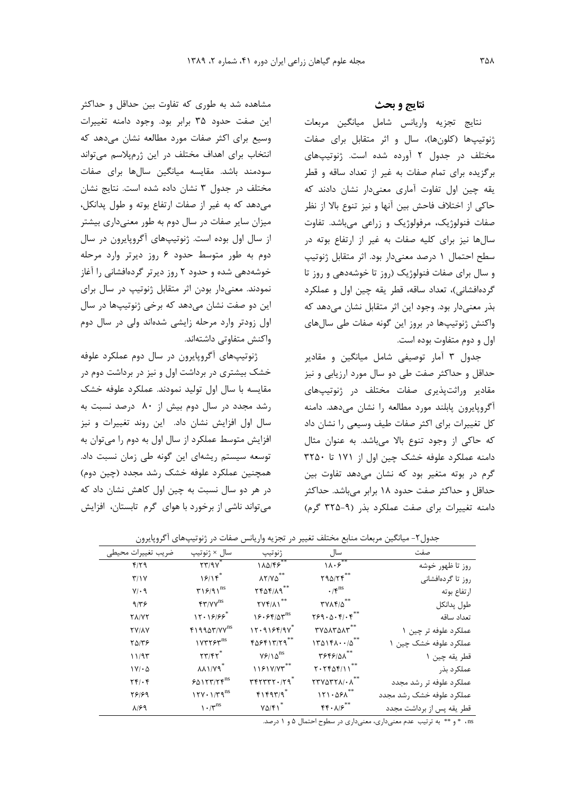مشاهده شد به طوری که تفاوت بین حداقل و حداکثر این صفت حدود ۳۵ برابر بود. وجود دامنه تغییرات وسیع برای اکثر صفات مورد مطالعه نشان می دهد که انتخاب برای اهداف مختلف در این ژرمپلاسم می تواند سودمند باشد. مقايسه ميانگين سالها براي صفات مختلف در جدول ۳ نشان داده شده است. نتایج نشان می دهد که به غیر از صفات ارتفاع بوته و طول پدانکل، میزان سایر صفات در سال دوم به طور معنیداری بیشتر از سال اول بوده است. ژنوتیپهای آگروپایرون در سال دوم به طور متوسط حدود ۶ روز دیرتر وارد مرحله خوشهدهی شده و حدود ۲ روز دیرتر گردهافشانی را آغاز نمودند. معنیدار بودن اثر متقابل ژنوتیپ در سال برای این دو صفت نشان میدهد که برخی ژنوتیپها در سال اول زودتر وارد مرحله زایشی شدهاند ولی در سال دوم واکنش متفاوتی داشتهاند.

ژنوتیپهای آگروپایرون در سال دوم عملکرد علوفه خشک بیشتری در برداشت اول و نیز در برداشت دوم در مقایسه با سال اول تولید نمودند. عملکرد علوفه خشک رشد مجدد در سال دوم بیش از ۸۰ درصد نسبت به سال اول افزایش نشان داد. این روند تغییرات و نیز افزایش متوسط عملکرد از سال اول به دوم را می توان به توسعه سیستم ریشهای این گونه طی زمان نسبت داد. همچنین عملکرد علوفه خشک رشد مجدد (چین دوم) در هر دو سال نسبت به چین اول کاهش نشان داد که می تواند ناشی از برخورد با هوای گرم تابستان، افزایش

### نتايج و بحث

نتايج تجزيه واريانس شامل ميانگين مربعات ژنوتیپها (کلونها)، سال و اثر متقابل برای صفات مختلف در جدول ٢ آورده شده است. ژنوتیپهای برگزیده برای تمام صفات به غیر از تعداد ساقه و قطر یقه چین اول تفاوت آماری معنیدار نشان دادند که حاكي از اختلاف فاحش بين آنها و نيز تنوع بالا از نظر صفات فنولوژیک، مرفولوژیک و زراعی میباشد. تفاوت سالها نیز برای کلیه صفات به غیر از ارتفاع بوته در سطح احتمال ١ درصد معنىدار بود. اثر متقابل ژنوتيپ و سال برای صفات فنولوژیک (روز تا خوشهدهی و روز تا گردهافشانی)، تعداد ساقه، قطر يقه چين اول و عملكرد بذر معنىدار بود. وجود اين اثر متقابل نشان مى دهد كه واکنش ژنوتیپها در بروز این گونه صفات طی سالهای اول و دوم متفاوت بوده است.

جدول ۳ آمار توصیفی شامل میانگین و مقادیر حداقل و حداکثر صفت طی دو سال مورد ارزیابی و نیز مقادیر وراثتپذیری صفات مختلف در ژنوتیپهای آگروپایرون پابلند مورد مطالعه را نشان می دهد. دامنه کل تغییرات برای اکثر صفات طیف وسیعی را نشان داد كه حاكي از وجود تنوع بالا مي باشد. به عنوان مثال دامنه عملکرد علوفه خشک چین اول از ۱۷۱ تا ۳۲۵۰ گرم در بوته متغیر بود که نشان میدهد تفاوت بین حداقل و حداکثر صفت حدود ۱۸ برابر میباشد. حداکثر دامنه تغییرات برای صفت عملکرد بذر (۹-۳۲۵ گرم)

| ضريب تغييرات محيطي                         | سال × ژنوتيپ                                        | ژنوتيپ                                                | سال                                                            | صفت                       |
|--------------------------------------------|-----------------------------------------------------|-------------------------------------------------------|----------------------------------------------------------------|---------------------------|
| $f/\gamma$                                 | $\gamma \gamma / \sqrt{\gamma^*}$                   | $1\lambda\Delta/\mathbf{F}\overline{\mathbf{F}^{**}}$ | $1\lambda \cdot 5^{**}$                                        | روز تا ظهور خوشه          |
| Y/Y                                        | S                                                   | $\lambda Y/Y\Delta$ **                                | Y9Q/Yf                                                         | روز تا گردهافشانی         |
| $Y/\cdot$ 9                                | $\mathbf{r} \mathbf{19} / 9 \mathbf{1}^{\text{ns}}$ | $YF\Delta F/\Lambda q^{**}$                           | $\cdot$ / $\zeta^{ns}$                                         | ارتفاع بوته               |
| 9/59                                       | $FT/VV$ <sup>ns</sup>                               | $\Upsilon V \Upsilon / \Lambda V^{**}$                | $\mathbf{YVAP}/\Delta$                                         | طول پدانكل                |
| <b>TA/VT</b>                               | $17.1999^*$                                         | $18.54/8T^{ns}$                                       | Y59.0.51.5                                                     | تعداد ساقه                |
| <b>TY/AY</b>                               | $f1990Y/YY^{ns}$                                    | $11.9194/9V^*$                                        | TYQATQAT**                                                     | عملکرد علوفه تر چین ۱     |
| $Y\Delta/Y$                                | $1YYYYY^{ns}$                                       | $f\Delta Ff\1T/Tq^{**}$                               | $170151 \cdot \cdot \cdot \cdot \Delta^{**}$                   | عملکرد علوفه خشک چین ۱    |
| 11/95                                      | $\mathbf{Y} \mathbf{Y} / \mathbf{Y} \mathbf{Y}^*$   | $Y$ $9/10$ <sup>ns</sup>                              | TSFS/01 **                                                     | قطر يقه چين ١             |
| $1V/\cdot \Delta$                          | $\lambda \lambda \frac{1}{V}$                       | 1191Y/Y''                                             | $Y. YY\Delta Y/11$                                             | عملكرد بذر                |
| $\mathbf{Y} \mathbf{Y} / \cdot \mathbf{Y}$ | $50157/5^{ns}$                                      | $rrrrrr.1rq^*$                                        | $\mathsf{TTV}\Delta\mathsf{TT}\mathsf{A}/\cdot\mathsf{A}^{**}$ | عملكرد علوفه تر رشد مجدد  |
| 78189                                      | $17Y \cdot 1/T9^{ns}$                               | FT1                                                   | $151.051**$                                                    | عملكرد علوفه خشك رشد مجدد |
| $\lambda$ /۶۹                              | $\cdot$ / $\mathbf{v}^{\text{ns}}$                  | $Y\Delta/\mathfrak{f}$                                | $\mathbf{f} \mathbf{f} \cdot \mathbf{A} / \mathbf{F}^{**}$     | قطر يقه پس از برداشت مجدد |

جدول۲- میانگین مربعات منابع مختلف تغییر در تجزیه واریانس صفات در ژنوتیپهای آگروپایرون

ns ، \* و \*\* به ترتیب عدم معنیداری، معنیداری در سطوح احتمال ۵ و ۱ درصد.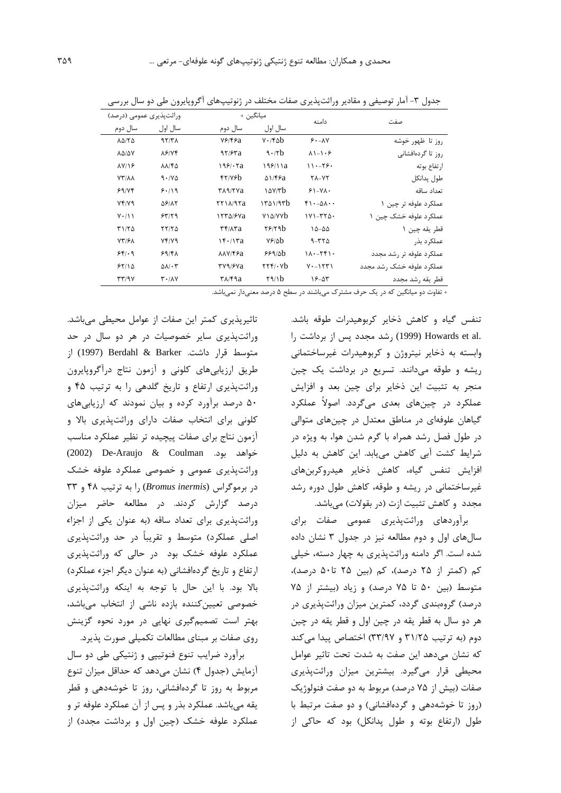| وراثتیذیری عمومی (درصد)                 |                                          | ميانگين +                                        |                                                              | دامنه                                 | صفت                         |
|-----------------------------------------|------------------------------------------|--------------------------------------------------|--------------------------------------------------------------|---------------------------------------|-----------------------------|
| سال دوم                                 | سال اول                                  | سال دوم                                          | سال اول                                                      |                                       |                             |
| <b>ADITO</b>                            | 97/TA                                    | $Y$ ۶/۴۶a                                        | $V \cdot$ /۴۵ $b$                                            | $9. - \lambda V$                      | روز تا ظهور خوشه            |
| <b>ADIDY</b>                            | $\lambda$ ۶/۷۴                           | 97/87a                                           | 9.7b                                                         | $\lambda$ 1-1.8                       | روز تا گردهافشانی           |
| $\lambda V/\sqrt{2}$                    | $\lambda\lambda$ /۴۵                     | 199/17a                                          | 199/11a                                                      | $11 - 59$                             | ار تفاع بوته                |
| <b>YY/AA</b>                            | $9.1Y\Delta$                             | fY/Yf                                            | $\Delta$ 1/۴۶a                                               | $Y\Lambda - YY$                       | طول يدانكل                  |
| 99/78                                   | 9.119                                    | <b>TARITYA</b>                                   | $\Delta V$                                                   | $51 - YA$                             | تعداد ساقه                  |
| Yf/YQ                                   | <b>58/17</b>                             | $YY$ $\lambda$ /9 $Ya$                           | 1501/95                                                      | $f \cdot -\Delta \Lambda \cdot \cdot$ | عملکرد علوفه تر چین ۱       |
| $Y \cdot / Y Y$                         | 55/79                                    | 1550/8Va                                         | <b>Y</b> \\alv\\right                                        | $1V1 - YY0$                           | عملکر د علوفه خشک چین ۱     |
| Y1/YQ                                   | YY/Y                                     | $\mathbf{r}$ $\mathbf{r}$ / $\mathbf{r}$ a       | Y/19b                                                        | $10 - 00$                             | قطر يقه چين ١               |
| <b>VY/EA</b>                            | Yf/Y9                                    | 15.117a                                          | $Yf/\Delta b$                                                | $9 - YY \Delta$                       | عملکر د بذر                 |
| 55.9                                    | 59/8A                                    | $\lambda\lambda V$ /۴۶ $a$                       | 999/86                                                       | $11. - 15.$                           | عملکرد علوفه تر رشد مجدد    |
| 55/10                                   | $\Delta \lambda / \cdot 5$               | ۳۷٩/۶۷a                                          | $\mathbf{Y} \mathbf{Y} \mathbf{f}$ . $\mathbf{V} \mathbf{h}$ | $Y - YY'$                             | عملکر د علوفه خشک , شد محدد |
| $\mathbf{r} \mathbf{r}$ /9 $\mathbf{v}$ | $\mathbf{r} \cdot \mathbf{A} \mathbf{v}$ | $\mathsf{r}\wedge\mathsf{r}\mathsf{q}\mathsf{a}$ | $\frac{1}{2}$                                                | $15 - \Delta T$                       | قطر يقه رشد مجدد            |

جدول ۳- آمار توصیفی و مقادیر وراثتپذیری صفات مختلف در ژنوتیپهای آگروپایرون طی دو سال بررسی

+ تفاوت دو میانگین که در یک حرف مشترک میباشند در سطح ۵ درصد معنیدار نمیباشد.

تنفس گیاه و کاهش ذخایر کربوهیدرات طوقه باشد. .Howards et al (1999) , شد مجدد يس از برداشت ,ا وابسته به ذخاير نيتروژن و كربوهيدرات غيرساختماني ریشه و طوقه می دانند. تسریع در برداشت یک چین منجر به تثبیت این ذخایر برای چین بعد و افزایش عملکرد در چینهای بعدی میگردد. اصولاً عملکرد گیاهان علوفهای در مناطق معتدل در چینهای متوالی در طول فصل رشد همراه با گرم شدن هوا، به ویژه در شرایط کشت آبی کاهش می یابد. این کاهش به دلیل افزایش تنفس گیاه، کاهش ذخایر هیدروکربنهای غیرساختمانی در ریشه و طوقه، کاهش طول دوره رشد مجدد و کاهش تثبیت ازت (در بقولات) میباشد.

برآوردهای وراثتپذیری عمومی صفات برای سال های اول و دوم مطالعه نیز در جدول ۳ نشان داده شده است. اگر دامنه وراثت پذیری به چهار دسته، خیلی کم (کمتر از ۲۵ درصد)، کم (بین ۲۵ تا۵۰ درصد)، متوسط (بین ۵۰ تا ۷۵ درصد) و زیاد (بیشتر از ۷۵ درصد) گروهبندی گردد، کمترین میزان وراثت پذیری در هر دو سال به قطر يقه در چين اول و قطر يقه در چين دوم (به ترتیب ۳۱/۲۵ و ۳۳/۹۷) اختصاص پیدا می کند كه نشان مى دهد اين صفت به شدت تحت تاثير عوامل محیطی قرار میگیرد. بیشترین میزان وراثتپذیری صفات (بیش از ۷۵ درصد) مربوط به دو صفت فنولوژیک (روز تا خوشهدهی و گردهافشانی) و دو صفت مرتبط با طول (ارتفاع بوته و طول پدانکل) بود که حاکی از

تاثیریذیری کمتر این صفات از عوامل محیطی می باشد. وراثتپذیری سایر خصوصیات در هر دو سال در حد متوسط قرار داشت. Berdahl & Barker (1997) از طریق ارزیابی های کلونی و آزمون نتاج درآگروپایرون وراثتپذیری ارتفاع و تاریخ گلدهی را به ترتیب ۴۵ و ۵۰ درصد برآورد کرده و بیان نمودند که ارزیابیهای کلونی برای انتخاب صفات دارای وراثتپذیری بالا و آزمون نتاج برای صفات پیچیده تر نظیر عملکرد مناسب خواهد بود. De-Araujo & Coulman خواهد بود. وراثتپذیری عمومی و خصوصی عملکرد علوفه خشک در برموگراس (Bromus inermis) را به ترتیب ۴۸ و ۳۳ درصد گزارش کردند. در مطالعه حاضر میزان وراثت پذیری برای تعداد ساقه (به عنوان یکی از اجزاء اصلی عملکرد) متوسط و تقریباً در حد وراثتپذیری عملکرد علوفه خشک بود در حالی که وراثتیذیری ارتفاع و تاريخ گردهافشاني (به عنوان ديگر اجزء عملكرد) بالا بود. با این حال با توجه به اینکه وراثتپذیری خصوصی تعیین کننده بازده ناشی از انتخاب می باشد، بهتر است تصمیمگیری نهایی در مورد نحوه گزینش روی صفات بر مبنای مطالعات تکمیلی صورت پذیرد.

برآورد ضرایب تنوع فنوتیپی و ژنتیکی طی دو سال آزمایش (جدول ۴) نشان میدهد که حداقل میزان تنوع مربوط به روز تا گردهافشانی، روز تا خوشهدهی و قطر يقه مي باشد. عملكرد بذر و پس از آن عملكرد علوفه تر و عملکرد علوفه خشک (چین اول و برداشت مجدد) از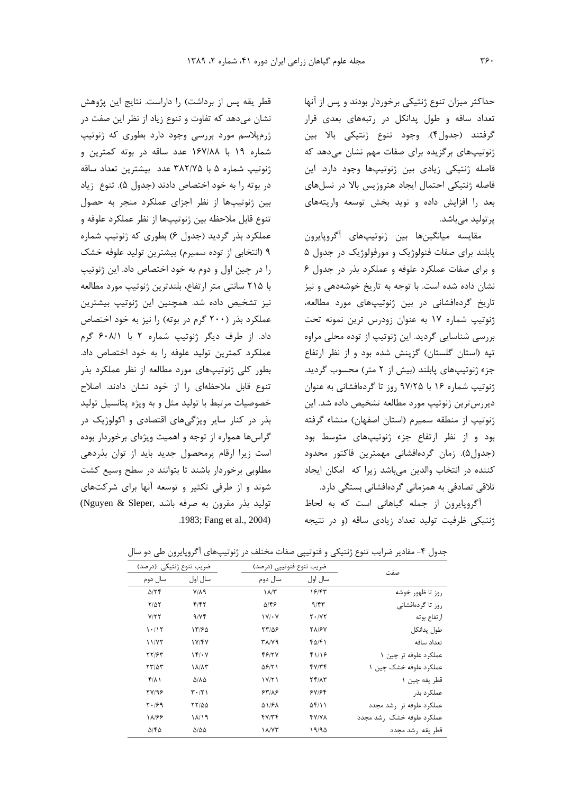حداکثر میزان تنوع ژنتیکی برخوردار بودند و پس از آنها تعداد ساقه وطول يدانكل در رتبههاى بعدى قرار گرفتند (جدول۴). وجود تنوع ژنتیکی بالا بین ژنوتیپهای برگزیده برای صفات مهم نشان میدهد که فاصله ژنتیکی زیادی بین ژنوتیپها وجود دارد. این فاصله ژنتیکی احتمال ایجاد هتروزیس بالا در نسلهای بعد را افزایش داده و نوید بخش توسعه واریتههای یر تولید مے باشد.

مقايسه ميانگينها بين ژنوتيپهاى أكروپايرون پابلند برای صفات فنولوژیک و مورفولوژیک در جدول ۵ و برای صفات عملکرد علوفه و عملکرد بذر در جدول ۶ نشان داده شده است. با توجه به تاریخ خوشهدهی و نیز تاریخ گردهافشانی در بین ژنوتیپهای مورد مطالعه، ژنوتیپ شماره ۱۷ به عنوان زودرس ترین نمونه تحت بررسی شناسایی گردید. این ژنوتیپ از توده محلی مراوه تپه (استان گلستان) گزينش شده بود و از نظر ارتفاع جزء ژنوتیپهای پابلند (بیش از ۲ متر) محسوب گردید. ژنوتیپ شماره ۱۶ با ۹۷/۲۵ روز تا گردهافشانی به عنوان ديررسترين ژنوتيپ مورد مطالعه تشخيص داده شد. اين ژنوتیپ از منطقه سمیرم (استان اصفهان) منشاء گرفته بود و از نظر ارتفاع جزء ژنوتیپهای متوسط بود (جدول۵). زمان گردهافشانی مهمترین فاکتور محدود كننده در انتخاب والدين مىباشد زيرا كه امكان ايجاد تلاقی تصادفی به همزمانی گردهافشانی بستگی دارد.

آگروپایرون از جمله گیاهانی است که به لحاظ ژنتیکی ظرفیت تولید تعداد زیادی ساقه (و در نتیجه

قطر يقه پس از برداشت) را داراست. نتايج اين پژوهش نشان میدهد که تفاوت و تنوع زیاد از نظر این صفت در ژرمپلاسم مورد بررسی وجود دارد بطوری که ژنوتیپ شماره ١٩ با ١۶٧/٨٨ عدد ساقه در بوته كمترين و ژنوتیپ شماره ۵ با ۳۸۲/۷۵ عدد بیشترین تعداد ساقه در بوته را به خود اختصاص دادند (جدول ۵). تنوع زیاد بين ژنوتيپها از نظر اجزاي عملكرد منجر به حصول تنوع قابل ملاحظه بين ژنوتيپها از نظر عملكرد علوفه و عملکرد بذر گردید (جدول ۶) بطوری که ژنوتیپ شماره ۹ (انتخابی از توده سمیرم) بیشترین تولید علوفه خشک را در چین اول و دوم به خود اختصاص داد. این ژنوتیپ با ۲۱۵ سانتی متر ارتفاع، بلندترین ژنوتیپ مورد مطالعه نیز تشخیص داده شد. همچنین این ژنوتیپ بیشترین عملکرد بذر (۲۰۰ گرم در بوته) را نیز به خود اختصاص داد. از طرف دیگر ژنوتیپ شماره ۲ با ۶۰۸/۱ گرم عملکرد کمترین تولید علوفه را به خود اختصاص داد. بطور کلی ژنوتیپهای مورد مطالعه از نظر عملکرد بذر تنوع قابل ملاحظهای را از خود نشان دادند. اصلاح خصوصیات مرتبط با تولید مثل و به ویژه پتانسیل تولید بذر در کنار سایر ویژگیهای اقتصادی و اکولوژیک در گراسها همواره از توجه و اهمیت ویژهای برخوردار بوده است زیرا ارقام پرمحصول جدید باید از توان بذردهی مطلوبی برخوردار باشند تا بتوانند در سطح وسیع کشت شوند و از طرفی تکثیر و توسعه آنها برای شرکتهای توليد بذر مقرون به صرفه باشد ,Nguyen & Sleper) .1983; Fang et al., 2004)

جدول ۴- مقادیر ضرایب تنوع ژنتیکی و فنوتیپی صفات مختلف در ژنوتیپهای آگروپایرون طی دو سال

| ضریب تنوع ژنتیکی (درصد) |                                 | ضريب تنوع فنوتييي (درصد)        | صفت               |                           |
|-------------------------|---------------------------------|---------------------------------|-------------------|---------------------------|
| سال دوم                 | سال اول                         | سال اول<br>سال دوم              |                   |                           |
| $\Delta$ /٢۴            | $Y/\Lambda$ 9                   | $\lambda/\tau$                  | ۱۶۱۴۳             | ٫و; تا ظهور خوشه          |
| $Y/\Delta Y$            | f/f                             | $\Delta$ /۴۶                    | 9/85              | روز تا گردەافشانى         |
| Y/YY                    | 9/76                            | $\mathcal{N}/\cdot \mathcal{V}$ | $Y \cdot I$       | ارتفاع بوته               |
| 1.117                   | ۱۳۱۶۵                           | 55128                           | <b>TA/8V</b>      | طول يدانكل                |
| 11/77                   | 1Y/FV                           | <b>TAIV9</b>                    | ۴۵/۴۱             | تعداد ساقه                |
| <b>٢٢/۶۳</b>            | 15.4                            | 48127                           | ۴۱/۱۶             | عملکرد علوفه تر چین ۱     |
| 557/25                  | ۱۸/۸۳                           | 58171                           | 47/14             | عملکرد علوفه خشک چین ۱    |
| $f/\lambda$             | ۵/۸۵                            | 1Y/Y1                           | $Yf/\Lambda Y$    | قطر يقه چين ١             |
| YV/99                   | $\mathbf{r} \cdot (\mathbf{r})$ | 5418                            | 5Y/56             | عملکر د بذر               |
| $Y \cdot 199$           | <b>77/00</b>                    | A1181                           | $\Delta f/\Delta$ | عملکرد علوفه تر ۱٫شد مجدد |
| 11/88                   | 11/19                           | fY/Tf                           | <b>FV/VA</b>      | عملکرد علوفه خشک رشد مجدد |
| ۵/۴۵                    | $\Delta/\Delta\Delta$           | ۱۸/۷۳                           | ۱۹/۹۵             | قطر يقه رشد مجدد          |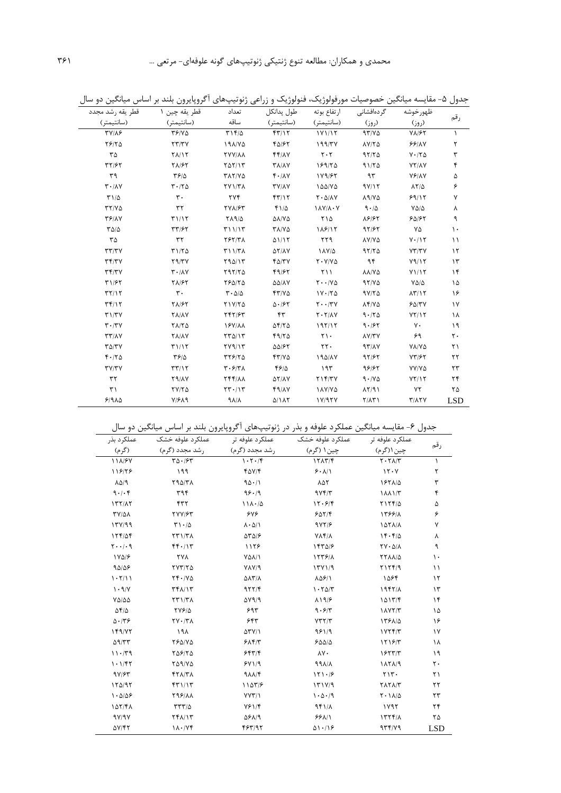| قطر يقه رشد مجدد                           | قطر يقه چين ١                              | تعداد                                    | طول پدانكل                     | ارتفاع بوته                   | گر دەافشانى            | ظهور خوشه                     |               |
|--------------------------------------------|--------------------------------------------|------------------------------------------|--------------------------------|-------------------------------|------------------------|-------------------------------|---------------|
| (سانتيمتر)                                 | (سانتيمتر)                                 | ساقه                                     | (سانتيمتر)                     | (سانتيمتر)                    | (روز)                  | (روز)                         | رقم           |
| <b>TVIAS</b>                               | YY/Y                                       | T15/2                                    | f(Y)/Y                         | 1Y1/17                        | 97/10                  | $V\Lambda/\mathcal{F}V$       | $\lambda$     |
| YF/Y                                       | YY/YY                                      | 191/70                                   | 40187                          | 199/TV                        | <b>AVITA</b>           | 99/1                          | ٢             |
| ٣۵                                         | $Y$ $\Lambda$ $Y$                          | <b>TYY/AA</b>                            | $f f/\lambda V$                | $\mathbf{Y} \cdot \mathbf{Y}$ | 97/70                  | $Y \cdot / Y \Delta$          | ٣             |
| 37/۶۲                                      | <b>TA/۶۲</b>                               | $Y\Delta Y/Y$                            | <b>TA/AY</b>                   | 189/70                        | 91/70                  | <b>YY/AY</b>                  | ۴             |
| ٣٩                                         | $\frac{8}{2}$                              | <b>TAY/VQ</b>                            | $f \cdot / \Lambda V$          | 189/87                        | 95                     | $Y$ $Y$ $AY$                  | ۵             |
| $\mathbf{r} \cdot / \mathbf{A} \mathbf{V}$ | $Y \cdot / Y \Delta$                       | <b>TY1/۳۸</b>                            | <b>TY/AY</b>                   | ۱۵۵/۷۵                        | 9Y/1Y                  | $\lambda Y/\Delta$            | ۶             |
| $T1/\Delta$                                | $\mathbf{r}$ .                             | <b>TYF</b>                               | f(Y Y)                         | $Y \cdot \Delta/\lambda V$    | $\lambda$ 9/Y $\Delta$ | 99/15                         | ٧             |
| YY/YQ                                      | ٣٢                                         | <b>TYA/۶۳</b>                            | $f1/\Delta$                    | $\lambda V/\lambda \cdot V$   | 9.10                   | $Y\Delta/\Delta$              | ٨             |
| <b>٣۶/٨٧</b>                               | T1/17                                      | <b>719/0</b>                             | $\Delta\lambda/\Upsilon\Delta$ | ۲۱۵                           | 88187                  | 50/57                         | ٩             |
| $\Gamma \Delta/\Delta$                     | 37/۶۲                                      | T11/17                                   | <b>TA/VQ</b>                   | 118/15                        | 97/۶۲                  | ٧۵                            | $\mathcal{L}$ |
| ٣۵                                         | $\tau\tau$                                 | <b>787/۳۸</b>                            | 01/17                          | ۲۲۹                           | <b>AY/YA</b>           | $Y \cdot / Y$                 | $\setminus$   |
| $\tau\tau/\tau\gamma$                      | $T1/T\Delta$                               | T11/T <sub>A</sub>                       | $\Delta Y/\Delta Y$            | ۱۸۷/۵                         | 97/70                  | YY/YY                         | $\gamma$      |
| $\tau \tau/\tau \nu$                       | $Y \mathcal{A}/\mathcal{X}$                | Y90/15                                   | $f\Delta/\tau V$               | $Y \cdot Y / V \Delta$        | ۹۴                     | Y9/17                         | $\gamma$      |
| $\mathbf{r}$ $\mathbf{r}$                  | $\mathbf{r} \cdot / \mathbf{A} \mathbf{V}$ | Y97/70                                   | 99/7                           | Y                             | <b>AA/YA</b>           | Y1/17                         | $\gamma$      |
| T1/57                                      | <b>TA/۶۲</b>                               | 780/70                                   | $\Delta\Delta/\Lambda\rm{V}$   | $Y \cdot \cdot / V \Delta$    | 97/8                   | $Y\Delta/\Delta$              | ۱۵            |
| $\mathbf{r} \mathbf{r}/\mathbf{r}$         | $\mathbf{r}$ .                             | $\mathbf{r} \cdot \mathbf{a}/\mathbf{a}$ | YY/VA                          | $1Y \cdot 70$                 | $9Y/Y\Delta$           | $\lambda \Upsilon / \Upsilon$ | ۱۶            |
| $\mathbf{r}$                               | <b>TA/۶۲</b>                               | $Y1Y/Y\Delta$                            | $\Delta$ - $/57$               | $Y \cdot \cdot / YV$          | $\lambda$ ۴/۷۵         | 60/7V                         | $\gamma$      |
| T1/TV                                      | <b>YA/AY</b>                               | 747/94                                   | ۴۳                             | $Y \cdot Y/\Lambda V$         | 9.770                  | YY/Y                          | ١٨            |
| $\mathbf{r} \cdot \mathbf{r}$              | $Y\Lambda/Y\Delta$                         | <b>197/11</b>                            | $\Delta f/\gamma \Delta$       | 197/17                        | 9.197                  | ٧٠                            | ۱۹            |
| $\tau\tau/\lambda\gamma$                   | <b>YA/AY</b>                               | $\Upsilon \Upsilon \Delta / \Upsilon$    | 49/70                          | $\Upsilon \setminus \cdot$    | $\lambda V/\tau V$     | ۶۹                            | ٢.            |
| $\Gamma \Delta/\Gamma V$                   | T1/17                                      | YY9/Y                                    | 00/85                          | $YY -$                        | 97/14                  | VA/VA                         | ۲۱            |
| F.70                                       | 4810                                       | <b>٣٢۶/٢۵</b>                            | YY/VA                          | 190/17                        | 97/۶۲                  | YY/SY                         | ٢٢            |
| TVTY                                       | $\tau\tau/\gamma\tau$                      | $\mathbf{r} \cdot \mathbf{r}$            | 4810                           | ۱۹۳                           | 98187                  | <b>YY/YA</b>                  | ۲۳            |
| $\tau\tau$                                 | Y9/AY                                      | <b>TFF/11</b>                            | $\Delta Y/\Delta V$            | $Y \setminus Y/Y$             | 9.140                  | YY/Y                          | ۲۴            |
| $\uparrow$                                 | $YY/Y\Delta$                               | $YY - 1Y$                                | 49/1Y                          | <b>IAY/YA</b>                 | $\lambda Y/91$         | ٧٢                            | ٢۵            |
| $9/9\lambda\Delta$                         | $V/F\Lambda$ 9                             | $\Lambda/\Lambda$                        | <b>A/1AY</b>                   | 1Y/9YY                        | $Y/\Lambda Y$          | $Y/\lambda Y$                 | <b>LSD</b>    |

جدول ۵- مقایسه میانگین خصوصیات مورفولوژیک، فنولوژیک و زراعی ژنوتیپهای اگروپایرون بلند بر اساس میانگین دو سال

جدول ۶- مقایسه میانگین عملکرد علوفه و بذر در ژنوتیپهای اگروپایرون بلند بر اساس میانگین دو سال

İ

| عملکر د بذر               |                                                 |                                | عملکرد علوفه تر           عملکرد علوفه خشک             عملکرد علوفه تر             عملکرد علوفه خشک |                                                                         |             |
|---------------------------|-------------------------------------------------|--------------------------------|-----------------------------------------------------------------------------------------------------|-------------------------------------------------------------------------|-------------|
| (گرم)                     |                                                 |                                |                                                                                                     | چین ۱ (گرم)                                                             | رقم         |
| 111/87                    |                                                 |                                |                                                                                                     | $\mathbf{Y}\boldsymbol{\cdot}\mathbf{Y}\boldsymbol{\Lambda}/\mathbf{Y}$ | $\lambda$   |
| 118/78                    | ۱۹۹                                             | $f\Delta V/F$                  | 5.11                                                                                                | 15.7                                                                    | ٢           |
| $\lambda \Delta / 9$      | <b>790/71</b>                                   | 90.11                          | ۸۵۲                                                                                                 | 1871/0                                                                  | ٣           |
| 9.1.9                     | ٣٩۴                                             | 98.19                          | 9Yf/T                                                                                               | ۱۸۸۱/۳                                                                  | ۴           |
| 177/17                    | ۴۳۲                                             | $11\lambda \cdot \Delta$       | 17.97                                                                                               | $Y1Yf/\Delta$                                                           | ۵           |
| TY/QA                     | <b>TVV/۶۳</b>                                   | ۶۷۶                            | 5017                                                                                                | 158818                                                                  | ۶           |
| 177/99                    | $\Gamma \setminus \cdot/\Delta$                 | $\lambda \cdot \Delta/\lambda$ | 9YY/F                                                                                               | 1071/1                                                                  | ٧           |
| 156/29                    | $\Upsilon \Upsilon \Upsilon / \Upsilon \Lambda$ | 55016                          | YAF/A                                                                                               | 15.5/0                                                                  | ٨           |
| $Y \cdot \cdot / \cdot q$ | $f(f \cdot)/T$                                  | 1128                           | 145018                                                                                              | $\Upsilon V \cdot \Delta/\Lambda$                                       | ٩           |
| $1Y\Delta$ / $\epsilon$   | <b>YYA</b>                                      | <b>YAA/1</b>                   | 1559/                                                                                               | <b>TYAA/Q</b>                                                           | ١.          |
| 90/09                     | YYY/Y                                           | $Y\Lambda Y$ <sup>4</sup>      | 15Y1/9                                                                                              | Y1Yf/9                                                                  | $\setminus$ |
| 1.7/11                    | $YY \cdot Y\Delta$                              | <b>AAT/A</b>                   | 80811                                                                                               | ۱۵۶۴                                                                    | $\gamma$    |
| 1.9/                      | <b>TFAIT</b>                                    | 977/4                          | 1.70/T                                                                                              | 1957/A                                                                  | ۱۳          |
| $Y\Delta/\Delta\Delta$    | $\Upsilon \Upsilon \Upsilon / \Upsilon \Lambda$ | $\Delta V$ 9/9                 | $\lambda$ \ 9/8                                                                                     | 1017/F                                                                  | $\lambda$   |
| $\Delta f/\Delta$         | $\frac{1}{2} \frac{1}{2} \frac{1}{2}$           | ۶۹۳                            | 9.5/7                                                                                               | $1\lambda Y Y/Y$                                                        | ۱۵          |
| $\Delta \cdot 75$         | $\mathbf{Y} \mathbf{V} \cdot \mathbf{X}$        | ۶۴۳                            | YYY/Y                                                                                               | 1581/0                                                                  | ۱۶          |
| 149/77                    | ۱۹۸                                             | $\Delta \Upsilon V/\Upsilon$   | 981/9                                                                                               | 1YYf/Y                                                                  | $\gamma$    |
| $\Delta$ 9/٣٣             | <b>790/VQ</b>                                   | $5\lambda$ ۴/۳                 | 500/0                                                                                               | 11197                                                                   | ١٨          |
| 11.79                     | 708/70                                          | 557/                           | ۸۷۰                                                                                                 | 155777                                                                  | ۱۹          |
| 1.1/FT                    | 759/75                                          | 5Y1/9                          | $49\lambda/\lambda$                                                                                 | 1171/9                                                                  | ٢٠          |
| 97/۶۳                     | <b>FTA/TA</b>                                   | $9\lambda\lambda/F$            | 151.19                                                                                              | YY                                                                      | ۲۱          |
| 150/97                    | $f\uparrow\gamma/\gamma\uparrow$                | 11077                          | 151Y/9                                                                                              | <b>TATA/T</b>                                                           | ۲۲          |
| 1.008                     | <b>798/11</b>                                   | $YYY/\lambda$                  | 1.0.79                                                                                              | $Y \cdot 11/2$                                                          | ۲۳          |
| 107/41                    | ۲۳۳/۵                                           | <b>VE114</b>                   | 951/A                                                                                               | ۱۷۹۲                                                                    | ۲۴          |
| 9Y/9Y                     | <b>٢۴٨/١٣</b>                                   | <b>ASA/9</b>                   | 5511                                                                                                | 1777/                                                                   | ۲۵          |
| <b>AV/۴۲</b>              | $1\lambda \cdot / \gamma f$                     | 483197                         | 01.19                                                                                               | 954179                                                                  | <b>LSD</b>  |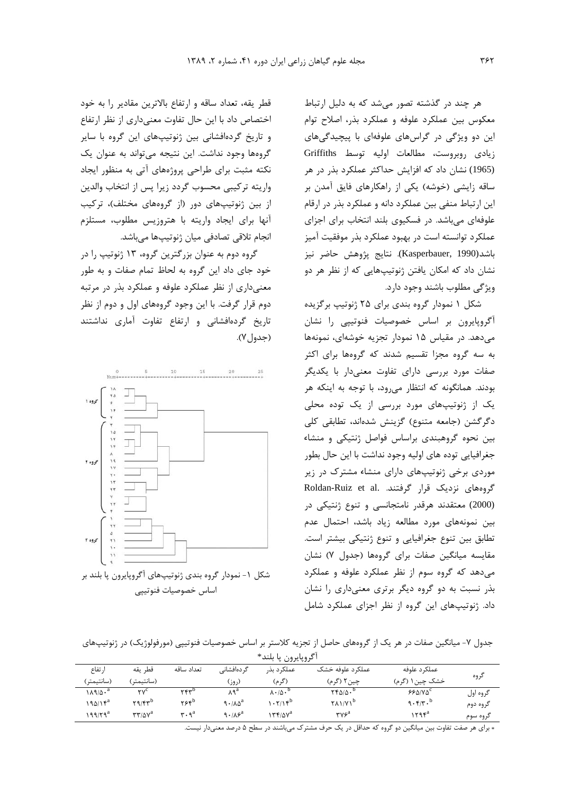هر چند در گذشته تصور میشد که به دلیل ارتباط معكوس بين عملكرد علوفه و عملكرد بذر، اصلاح توام این دو ویژگی در گراسهای علوفهای با پیچیدگیهای زيادى روبروست، مطالعات اوليه توسط Griffiths (1965) نشان داد که افزایش حداکثر عملکرد بذر در هر ساقه زایشی (خوشه) یکی از راهکارهای فایق آمدن بر این ارتباط منفی بین عملکرد دانه و عملکرد بذر در ارقام علوفهای میباشد. در فسکیوی بلند انتخاب برای اجزای عملكرد توانسته است در بهبود عملكرد بذر موفقيت آميز باشد(Kasperbauer, 1990). نتايج پژوهش حاضر نيز نشان داد که امکان یافتن ژنوتیپهایی که از نظر هر دو ویژگی مطلوب باشند وجود دارد.

شکل ۱ نمودار گروه بندی برای ۲۵ ژنوتیپ برگزیده آگروپایرون بر اساس خصوصیات فنوتیپی را نشان می دهد. در مقیاس ۱۵ نمودار تجزیه خوشهای، نمونهها به سه گروه مجزا تقسیم شدند که گروهها برای اکثر صفات مورد بررسی دارای تفاوت معنیدار با یکدیگر بودند. همانگونه که انتظار می رود، با توجه به اینکه هر یک از ژنوتیپهای مورد بررسی از یک توده محلی دگرگشن (جامعه متنوع) گزینش شدهاند، تطابقی کلی بین نحوه گروهبندی براساس فواصل ژنتیکی و منشاء جغرافیایی توده های اولیه وجود نداشت با این حال بطور موردی برخی ژنوتیپهای دارای منشاء مشترک در زیر Roldan-Ruiz et al. گروههای نزدیک قرار گرفتند. (2000) معتقدند هرقدر نامتجانسی و تنوع ژنتیکی در بین نمونههای مورد مطالعه زیاد باشد، احتمال عدم تطابق بین تنوع جغرافیایی و تنوع ژنتیکی بیشتر است. مقایسه میانگین صفات برای گروهها (جدول ۷) نشان می دهد که گروه سوم از نظر عملکرد علوفه و عملکرد بذر نسبت به دو گروه دیگر برتری معنیداری را نشان داد. ژنوتیپهای این گروه از نظر اجزای عملکرد شامل

قطر يقه، تعداد ساقه و ارتفاع بالاترين مقادير را به خود اختصاص داد با این حال تفاوت معنیداری از نظر ارتفاع و تاریخ گردهافشانی بین ژنوتیپهای این گروه با سایر گروهها وجود نداشت. این نتیجه میتواند به عنوان یک نکته مثبت برای طراحی پروژههای آتی به منظور ایجاد واريته تركيبي محسوب گردد زيرا يس از انتخاب والدين از بین ژنوتیپهای دور (از گروههای مختلف)، ترکیب آنها برای ایجاد واریته با هتروزیس مطلوب، مستلزم انجام تلاقی تصادفی میان ژنوتیپها میباشد.

گروه دوم به عنوان بزرگترین گروه، ۱۳ ژنوتیپ را در خود جای داد این گروه به لحاظ تمام صفات و به طور معنی داری از نظر عملکرد علوفه و عملکرد بذر در مرتبه دوم قرار گرفت. با این وجود گروههای اول و دوم از نظر تاریخ گردهافشانی و ارتفاع تفاوت آماری نداشتند (جدول٧).



شکل ۱- نمودار گروه بندی ژنوتیپهای آگروپایرون پا بلند بر اساس خصوصيات فنوتيپي

جدول ۷- میانگین صفات در هر یک از گروههای حاصل از تجزیه کلاستر بر اساس خصوصیات فنوتیپی (مورفولوژیک) در ژنوتیپهای آگروبایرون با بلند\*

|                   |                                                          |                                          |                      | . . <i>.</i>                     |                             |                 |          |
|-------------------|----------------------------------------------------------|------------------------------------------|----------------------|----------------------------------|-----------------------------|-----------------|----------|
| ا, تفاع           | قطر يقه                                                  | تعداد ساقه                               | گر دہافشانے ِ        | عملكرد بذر                       | عملکړ د علوفه خشک           | عملک د علوفه    |          |
| (سانتيمتر)        | (سانتيمتر)                                               |                                          | (روز)                | (گر م)                           | چین۲ (گرم)                  | خشک چین ۱ (گرم) | گروه     |
| ۱۸۹/۵۰ $^{\rm a}$ | $\mathbf{v}^{\mathbf{c}}$                                | $YY^p$                                   | ٨٩ <sup>a</sup>      | $\lambda \cdot / \Delta \cdot D$ | $YY \Delta/\Delta \cdot D$  | 660180°         | گروه اول |
| ۱۹۵/۱۴ $^{\rm a}$ | $Y9/FY^b$                                                | ۲۶۴ <sup>b</sup>                         | $9.1\lambda\Delta^a$ | $.715^{b}$                       | $Y \wedge V/Y$ <sup>b</sup> | 9.5/7.5         | گروه دوم |
| $19/79^a$         | $\mathbf{r}\mathbf{r}$ / $\Delta\mathbf{v}^{\mathrm{a}}$ | $\mathbf{r} \cdot \mathbf{q}^{\text{a}}$ | 9.18 <sup>a</sup>    | ۱۳۴/۵۷ $^{\rm a}$                | rv <sup>a</sup>             | ۱۲۹۴ $^{\rm a}$ | گروه سوم |
|                   |                                                          |                                          |                      |                                  |                             |                 |          |

∗ برای هر صفت تفاوت بین میانگین دو گروه که حداقل در یک حرف مشترک میباشند در سطح ۵ درصد معنیدار نیست.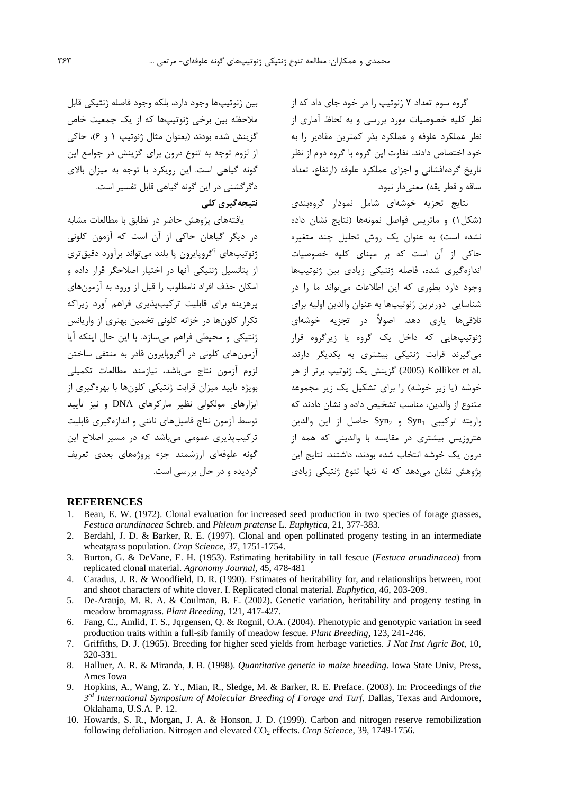گروه سوم تعداد ۷ ژنوتیپ را در خود جای داد که از نظر کلیه خصوصیات مورد بررسی و به لحاظ آماری از نظر عملکرد علوفه و عملکرد بذر کمترین مقادیر را به خود اختصاص دادند. تفاوت این گروه با گروه دوم از نظر تاریخ گردهافشانی و اجزای عملکرد علوفه (ارتفاع، تعداد ساقه و قطر یقه) معنی دار نبود.

نتایج تجزیه خوشهای شامل نمودار گروهبندی (شكل ۱) و ماتريس فواصل نمونهها (نتايج نشان داده نشده است) به عنوان یک روش تحلیل چند متغیره حاکی از آن است که بر مبنای کلیه خصوصیات اندازهگیری شده، فاصله ژنتیکی زیادی بین ژنوتیپها وجود دارد بطوری که این اطلاعات می تواند ما را در شناسایی دورترین ژنوتیپها به عنوان والدین اولیه برای تلاقی،ها یاری دهد. اصولاً در تجزیه خوشهای ژنوتیپهایی که داخل یک گروه یا زیرگروه قرار می گیرند قرابت ژنتیکی بیشتری به یکدیگر دارند. .Xolliker et al (2005) گزینش یک ژنوتیپ برتر از هر خوشه (یا زیر خوشه) ,ا برای تشکیل یک زیر مجموعه متنوع از والدین، مناسب تشخیص داده و نشان دادند که واريته تركيبي Syn<sub>1</sub> و Syn<sub>2</sub> حاصل از اين والدين هتروزیس بیشتری در مقایسه با والدینی که همه از درون یک خوشه انتخاب شده بودند، داشتند. نتایج این یژوهش نشان می۵هد که نه تنها تنوع ژنتیکی زیادی

بين ژنوتيپها وجود دارد، بلكه وجود فاصله ژنتيكي قابل ملاحظه بین برخی ژنوتیپها که از یک جمعیت خاص گزينش شده بودند (بعنوان مثال ژنوتيپ ۱ و ۶)، حاكي از لزوم توجه به تنوع درون براي گزينش در جوامع اين گونه گیاهی است. این رویکرد با توجه به میزان بالای دگر گشنی در این گونه گیاهی قابل تفسیر است. نتیجەگیری کلی

یافتههای پژوهش حاضر در تطابق با مطالعات مشابه در دیگر گیاهان حاکی از آن است که آزمون کلونی ژنوتیپهای آگروپایرون پا بلند میتواند برآورد دقیقتری از پتانسیل ژنتیکی آنها در اختیار اصلاحگر قرار داده و امكان حذف افراد نامطلوب را قبل از ورود به آزمونهاى یرهزینه برای قابلیت ترکیبیذیری فراهم آورد زیراکه تکرار کلونها در خزانه کلونی تخمین بهتری از واریانس ژنتیکی و محیطی فراهم میسازد. با این حال اینکه آیا آزمونهای کلونی در آگروپایرون قادر به منتفی ساختن لزوم آزمون نتاج مىباشد، نيازمند مطالعات تكميلي بویژه تایید میزان قرابت ژنتیکی کلونها با بهرهگیری از ابزارهای مولکولی نظیر مارکرهای DNA و نیز تأیید توسط آزمون نتاج فامیلهای ناتنی و اندازهگیری قابلیت ترکیب پذیری عمومی می باشد که در مسیر اصلاح این گونه علوفهای ارزشمند جزء پروژههای بعدی تعریف گردیده و در حال بررسی است.

#### **REFERENCES**

- 1. Bean, E. W. (1972). Clonal evaluation for increased seed production in two species of forage grasses, Festuca arundinacea Schreb. and Phleum pratense L. Euphytica, 21, 377-383.
- $2^{\circ}$ Berdahl, J. D. & Barker, R. E. (1997). Clonal and open pollinated progeny testing in an intermediate wheatgrass population. Crop Science, 37, 1751-1754.
- 3. Burton, G. & DeVane, E. H. (1953). Estimating heritability in tall fescue (Festuca arundinacea) from replicated clonal material. Agronomy Journal, 45, 478-481
- 4. Caradus, J. R. & Woodfield, D. R. (1990). Estimates of heritability for, and relationships between, root and shoot characters of white clover. I. Replicated clonal material. Euphytica, 46, 203-209.
- 5. De-Araujo, M. R. A. & Coulman, B. E. (2002). Genetic variation, heritability and progeny testing in meadow bromagrass. Plant Breeding, 121, 417-427.
- 6. Fang, C., Amlid, T. S., Jqrgensen, Q. & Rognil, O.A. (2004). Phenotypic and genotypic variation in seed production traits within a full-sib family of meadow fescue. Plant Breeding, 123, 241-246.
- 7. Griffiths, D. J. (1965). Breeding for higher seed yields from herbage varieties. *J Nat Inst Agric Bot*, 10, 320-331.
- 8. Halluer, A. R. & Miranda, J. B. (1998). *Quantitative genetic in maize breeding*. Iowa State Univ, Press, Ames Iowa
- Hopkins, A., Wang, Z. Y., Mian, R., Sledge, M. & Barker, R. E. Preface. (2003). In: Proceedings of the 9.  $3^{rd}$  International Symposium of Molecular Breeding of Forage and Turf. Dallas, Texas and Ardomore, Oklahama, U.S.A. P. 12.
- 10. Howards, S. R., Morgan, J. A. & Honson, J. D. (1999). Carbon and nitrogen reserve remobilization following defoliation. Nitrogen and elevated CO<sub>2</sub> effects. Crop Science, 39, 1749-1756.